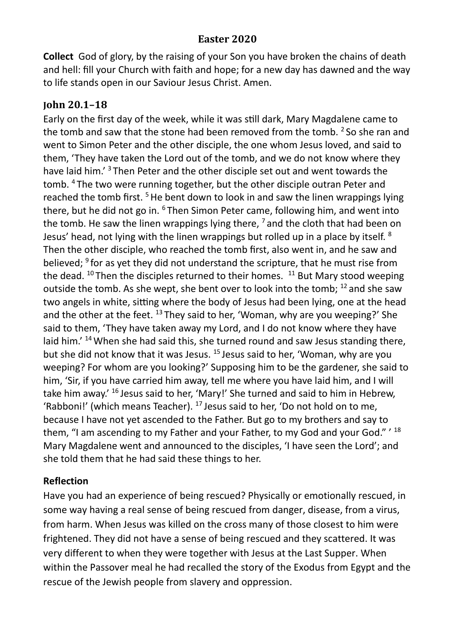## **Easter 2020**

**Collect** God of glory, by the raising of your Son you have broken the chains of death and hell: fill your Church with faith and hope; for a new day has dawned and the way to life stands open in our Saviour Jesus Christ. Amen.

## **John 20.1–18**

Early on the first day of the week, while it was still dark, Mary Magdalene came to the tomb and saw that the stone had been removed from the tomb.  $2$  So she ran and went to Simon Peter and the other disciple, the one whom Jesus loved, and said to them, 'They have taken the Lord out of the tomb, and we do not know where they have laid him.<sup>'3</sup> Then Peter and the other disciple set out and went towards the tomb. <sup>4</sup>The two were running together, but the other disciple outran Peter and reached the tomb first.  $5$  He bent down to look in and saw the linen wrappings lying there, but he did not go in. <sup>6</sup>Then Simon Peter came, following him, and went into the tomb. He saw the linen wrappings lying there,  $<sup>7</sup>$  and the cloth that had been on</sup> Jesus' head, not lying with the linen wrappings but rolled up in a place by itself. <sup>8</sup> Then the other disciple, who reached the tomb first, also went in, and he saw and believed;  $9$  for as yet they did not understand the scripture, that he must rise from the dead.  $10$  Then the disciples returned to their homes.  $11$  But Mary stood weeping outside the tomb. As she wept, she bent over to look into the tomb;  $^{12}$  and she saw two angels in white, sitting where the body of Jesus had been lying, one at the head and the other at the feet.  $^{13}$  They said to her, 'Woman, why are you weeping?' She said to them, 'They have taken away my Lord, and I do not know where they have laid him.' <sup>14</sup> When she had said this, she turned round and saw Jesus standing there, but she did not know that it was Jesus. <sup>15</sup> Jesus said to her, 'Woman, why are you weeping? For whom are you looking?' Supposing him to be the gardener, she said to him, 'Sir, if you have carried him away, tell me where you have laid him, and I will take him away.' <sup>16</sup> Jesus said to her, 'Mary!' She turned and said to him in Hebrew, 'Rabboni!' (which means Teacher).  $17$  Jesus said to her, 'Do not hold on to me, because I have not yet ascended to the Father. But go to my brothers and say to them, "I am ascending to my Father and your Father, to my God and your God." ' 18 Mary Magdalene went and announced to the disciples, 'I have seen the Lord'; and she told them that he had said these things to her.

## **Reflection**

Have you had an experience of being rescued? Physically or emotionally rescued, in some way having a real sense of being rescued from danger, disease, from a virus, from harm. When Jesus was killed on the cross many of those closest to him were frightened. They did not have a sense of being rescued and they scattered. It was very different to when they were together with Jesus at the Last Supper. When within the Passover meal he had recalled the story of the Exodus from Egypt and the rescue of the Jewish people from slavery and oppression.